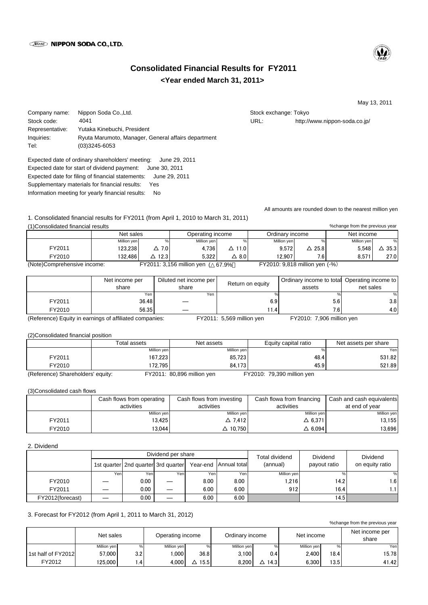

# **<Year ended March 31, 2011> Consolidated Financial Results for FY2011**

May 13, 2011

Company name: Nippon Soda Co.,Ltd. Stock exchange: Tokyo Stock exchange: Tokyo

Stock code: 4041 4041 All the stock code: 4041 and the stock code: 4041 and the stock code: 4041 and the stock code stock code. Representative: Yutaka Kinebuchi, President Inquiries: Ryuta Marumoto, Manager, General affairs department Tel: (03)3245-6053 4041

Expected date of ordinary shareholders' meeting: June 29, 2011 Expected date for start of dividend payment: June 30, 2011 Expected date for filing of financial statements: June 29, 2011 Supplementary materials for financial results: Yes Information meeting for yearly financial results: No

All amounts are rounded down to the nearest million yen

1. Consolidated financial results for FY2011 (from April 1, 2010 to March 31, 2011) (1)Consolidated financial results

|                             | Net sales   |                 | Operating income          |                   | Ordinary income                |      | Net income  |                  |
|-----------------------------|-------------|-----------------|---------------------------|-------------------|--------------------------------|------|-------------|------------------|
|                             | Million yen |                 | Million ven               |                   | Million ven                    | %    | Million ven |                  |
| FY2011                      | 123.238     | $\triangle$ 7.0 | 4.736                     | 11.0<br>Δ.        | 9.572                          | 25.8 | 5.548       | $\triangle$ 35.3 |
| FY2010                      | 132.486     | 12.3            | 5.322                     | $\Delta$ 8.0 $\,$ | 12.907                         | 7.6  | 8.571       | 27.0             |
| (Note)Comprehensive income: |             |                 | FY2011: 3,156 million yen | 67.9%             | FY2010: 9,818 million yen (-%) |      |             |                  |

|                                                         | Net income per<br>share | Diluted net income per<br>share | Return on equity          | Ordinary income to total Operating income to<br>assets | net sales        |
|---------------------------------------------------------|-------------------------|---------------------------------|---------------------------|--------------------------------------------------------|------------------|
|                                                         | Yen.                    | Yen                             |                           |                                                        |                  |
| FY2011                                                  | 36.48                   |                                 | 6.9                       | 5.6                                                    | 3.8 <sub>1</sub> |
| FY2010                                                  | 56.35                   |                                 | 1.4                       | 7.6                                                    | 4.OI             |
| (Reference) Equity in earnings of affiliated companies: |                         |                                 | FY2011: 5,569 million yen | FY2010: 7,906 million yen                              |                  |

(2)Consolidated financial position

|                                   | Total assets | Net assets                 | Equity capital ratio       | Net assets per share |
|-----------------------------------|--------------|----------------------------|----------------------------|----------------------|
|                                   | Million yen  | Million yen                | %                          | Yen                  |
| FY2011                            | 167.2231     | 85.723                     | 48.4                       | 531.82               |
| FY2010                            | 172.7951     | 84.173                     | 45.9                       | 521.89               |
| (Reference) Shareholders' equity: |              | FY2011: 80,896 million yen | FY2010: 79,390 million yen |                      |

(3)Consolidated cash flows

|        | Cash flows from operating<br>activities | Cash flows from investing<br>activities | Cash flowa from financing<br>activities | Cash and cash equivalents<br>at end of year |
|--------|-----------------------------------------|-----------------------------------------|-----------------------------------------|---------------------------------------------|
|        | Million yen                             | Million yen                             | Million yen                             | Million yen                                 |
| FY2011 | 13.425                                  | $\triangle$ 7.412                       | $\Delta$ 6,371                          | 13,155                                      |
| FY2010 | 13.044                                  | △ 10.750                                | $\Delta$ 6.094                          | 13.696                                      |

# 2. Dividend

|                  |      |                                       | Dividend per share |      | Total dividend        | <b>Dividend</b> | <b>Dividend</b> |                 |
|------------------|------|---------------------------------------|--------------------|------|-----------------------|-----------------|-----------------|-----------------|
|                  |      | 1st quarter   2nd quarter 3rd quarter |                    |      | Year-end Annual total | (annual)        | payout ratio    | on equity ratio |
|                  | Yeni | Yeni                                  | Yen                | Yen  | Yen                   | Million yen     |                 | $\%$            |
| FY2010           |      | 0.00                                  |                    | 8.00 | 8.00                  | 1.216           | 14.2            | 1.6             |
| FY2011           |      | 0.00                                  |                    | 6.00 | 6.00                  | 912             | 16.4            | ı.1             |
| FY2012(forecast) |      | 0.00                                  |                    | 6.00 | 6.00                  |                 | 14.5            |                 |

## 3. Forecast for FY2012 (from April 1, 2011 to March 31, 2012)

%change from the previous year

|                    | Net sales   |               | Operating income |      | Ordinary income |      | Net income  |      | Net income per<br>share |
|--------------------|-------------|---------------|------------------|------|-----------------|------|-------------|------|-------------------------|
|                    | Million yen | %             | Million yen      | %    | Million yen     | %    | Million ven | $\%$ | Yen                     |
| 1st half of FY2012 | 57,000      | 3.2           | .000             | 36.8 | 3.100           | 0.4  | 2.400       | 18.4 | 15.78                   |
| FY2012             | 125.000     | $\mathcal{A}$ | 4.000            | 15.5 | 8.200           | 14.3 | 6.300       | 13.5 | 41.42                   |

%change from the previous year